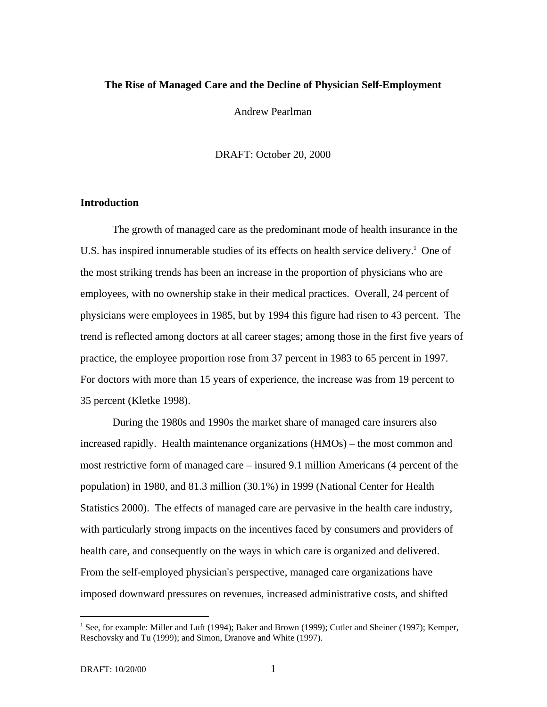# **The Rise of Managed Care and the Decline of Physician Self-Employment**

Andrew Pearlman

DRAFT: October 20, 2000

## **Introduction**

The growth of managed care as the predominant mode of health insurance in the U.S. has inspired innumerable studies of its effects on health service delivery.<sup>1</sup> One of the most striking trends has been an increase in the proportion of physicians who are employees, with no ownership stake in their medical practices. Overall, 24 percent of physicians were employees in 1985, but by 1994 this figure had risen to 43 percent. The trend is reflected among doctors at all career stages; among those in the first five years of practice, the employee proportion rose from 37 percent in 1983 to 65 percent in 1997. For doctors with more than 15 years of experience, the increase was from 19 percent to 35 percent (Kletke 1998).

During the 1980s and 1990s the market share of managed care insurers also increased rapidly. Health maintenance organizations (HMOs) – the most common and most restrictive form of managed care – insured 9.1 million Americans (4 percent of the population) in 1980, and 81.3 million (30.1%) in 1999 (National Center for Health Statistics 2000). The effects of managed care are pervasive in the health care industry, with particularly strong impacts on the incentives faced by consumers and providers of health care, and consequently on the ways in which care is organized and delivered. From the self-employed physician's perspective, managed care organizations have imposed downward pressures on revenues, increased administrative costs, and shifted

<sup>&</sup>lt;sup>1</sup> See, for example: Miller and Luft (1994); Baker and Brown (1999); Cutler and Sheiner (1997); Kemper, Reschovsky and Tu (1999); and Simon, Dranove and White (1997).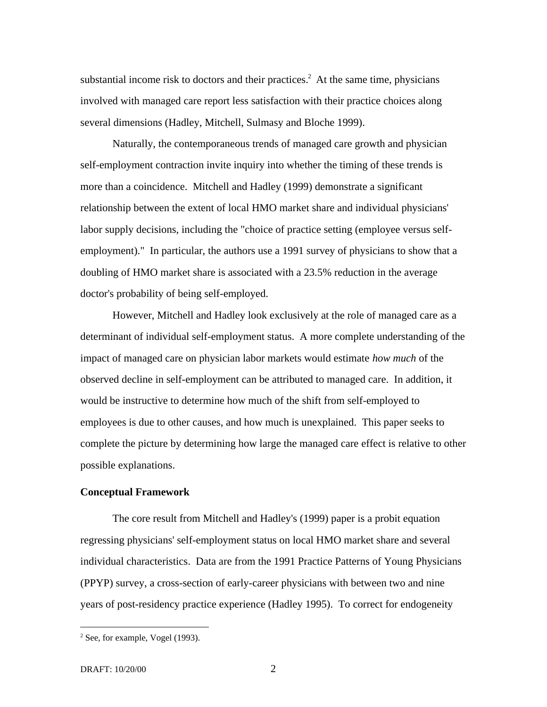substantial income risk to doctors and their practices.<sup>2</sup> At the same time, physicians involved with managed care report less satisfaction with their practice choices along several dimensions (Hadley, Mitchell, Sulmasy and Bloche 1999).

Naturally, the contemporaneous trends of managed care growth and physician self-employment contraction invite inquiry into whether the timing of these trends is more than a coincidence. Mitchell and Hadley (1999) demonstrate a significant relationship between the extent of local HMO market share and individual physicians' labor supply decisions, including the "choice of practice setting (employee versus selfemployment)." In particular, the authors use a 1991 survey of physicians to show that a doubling of HMO market share is associated with a 23.5% reduction in the average doctor's probability of being self-employed.

However, Mitchell and Hadley look exclusively at the role of managed care as a determinant of individual self-employment status. A more complete understanding of the impact of managed care on physician labor markets would estimate *how much* of the observed decline in self-employment can be attributed to managed care. In addition, it would be instructive to determine how much of the shift from self-employed to employees is due to other causes, and how much is unexplained. This paper seeks to complete the picture by determining how large the managed care effect is relative to other possible explanations.

### **Conceptual Framework**

The core result from Mitchell and Hadley's (1999) paper is a probit equation regressing physicians' self-employment status on local HMO market share and several individual characteristics. Data are from the 1991 Practice Patterns of Young Physicians (PPYP) survey, a cross-section of early-career physicians with between two and nine years of post-residency practice experience (Hadley 1995). To correct for endogeneity

 $2$  See, for example, Vogel (1993).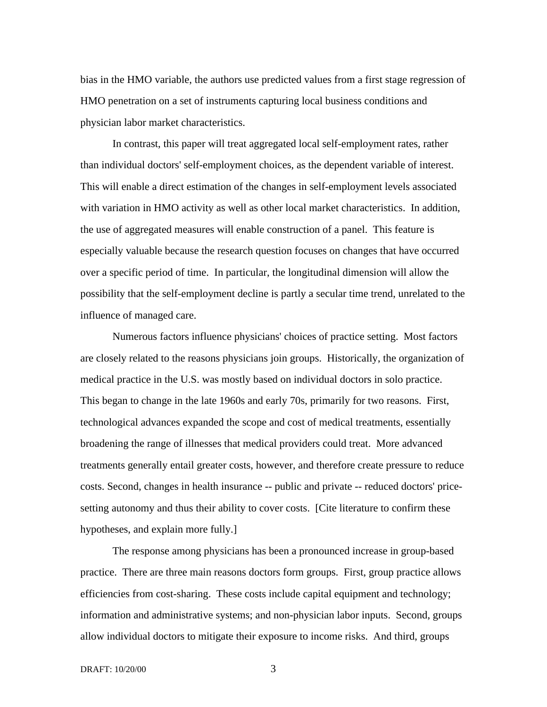bias in the HMO variable, the authors use predicted values from a first stage regression of HMO penetration on a set of instruments capturing local business conditions and physician labor market characteristics.

In contrast, this paper will treat aggregated local self-employment rates, rather than individual doctors' self-employment choices, as the dependent variable of interest. This will enable a direct estimation of the changes in self-employment levels associated with variation in HMO activity as well as other local market characteristics. In addition, the use of aggregated measures will enable construction of a panel. This feature is especially valuable because the research question focuses on changes that have occurred over a specific period of time. In particular, the longitudinal dimension will allow the possibility that the self-employment decline is partly a secular time trend, unrelated to the influence of managed care.

Numerous factors influence physicians' choices of practice setting. Most factors are closely related to the reasons physicians join groups. Historically, the organization of medical practice in the U.S. was mostly based on individual doctors in solo practice. This began to change in the late 1960s and early 70s, primarily for two reasons. First, technological advances expanded the scope and cost of medical treatments, essentially broadening the range of illnesses that medical providers could treat. More advanced treatments generally entail greater costs, however, and therefore create pressure to reduce costs. Second, changes in health insurance -- public and private -- reduced doctors' pricesetting autonomy and thus their ability to cover costs. [Cite literature to confirm these hypotheses, and explain more fully.]

The response among physicians has been a pronounced increase in group-based practice. There are three main reasons doctors form groups. First, group practice allows efficiencies from cost-sharing. These costs include capital equipment and technology; information and administrative systems; and non-physician labor inputs. Second, groups allow individual doctors to mitigate their exposure to income risks. And third, groups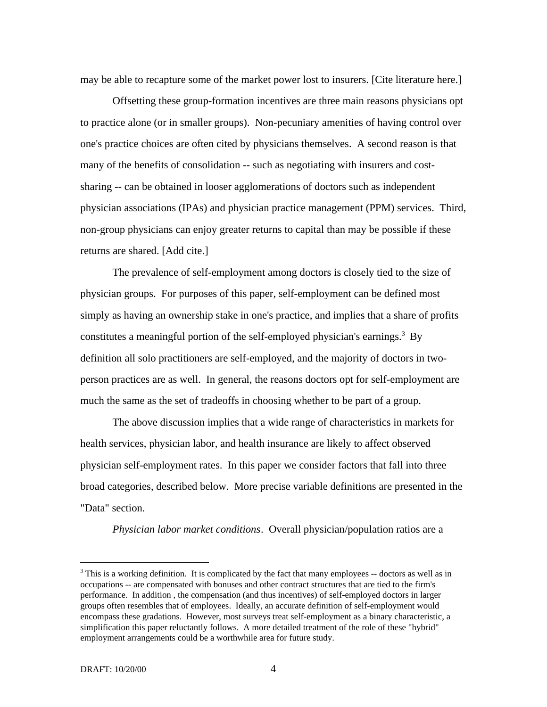may be able to recapture some of the market power lost to insurers. [Cite literature here.]

Offsetting these group-formation incentives are three main reasons physicians opt to practice alone (or in smaller groups). Non-pecuniary amenities of having control over one's practice choices are often cited by physicians themselves. A second reason is that many of the benefits of consolidation -- such as negotiating with insurers and costsharing -- can be obtained in looser agglomerations of doctors such as independent physician associations (IPAs) and physician practice management (PPM) services. Third, non-group physicians can enjoy greater returns to capital than may be possible if these returns are shared. [Add cite.]

The prevalence of self-employment among doctors is closely tied to the size of physician groups. For purposes of this paper, self-employment can be defined most simply as having an ownership stake in one's practice, and implies that a share of profits constitutes a meaningful portion of the self-employed physician's earnings.<sup>3</sup> By definition all solo practitioners are self-employed, and the majority of doctors in twoperson practices are as well. In general, the reasons doctors opt for self-employment are much the same as the set of tradeoffs in choosing whether to be part of a group.

The above discussion implies that a wide range of characteristics in markets for health services, physician labor, and health insurance are likely to affect observed physician self-employment rates. In this paper we consider factors that fall into three broad categories, described below. More precise variable definitions are presented in the "Data" section.

*Physician labor market conditions*. Overall physician/population ratios are a

 $3$  This is a working definition. It is complicated by the fact that many employees  $-$  doctors as well as in occupations -- are compensated with bonuses and other contract structures that are tied to the firm's performance. In addition , the compensation (and thus incentives) of self-employed doctors in larger groups often resembles that of employees. Ideally, an accurate definition of self-employment would encompass these gradations. However, most surveys treat self-employment as a binary characteristic, a simplification this paper reluctantly follows. A more detailed treatment of the role of these "hybrid" employment arrangements could be a worthwhile area for future study.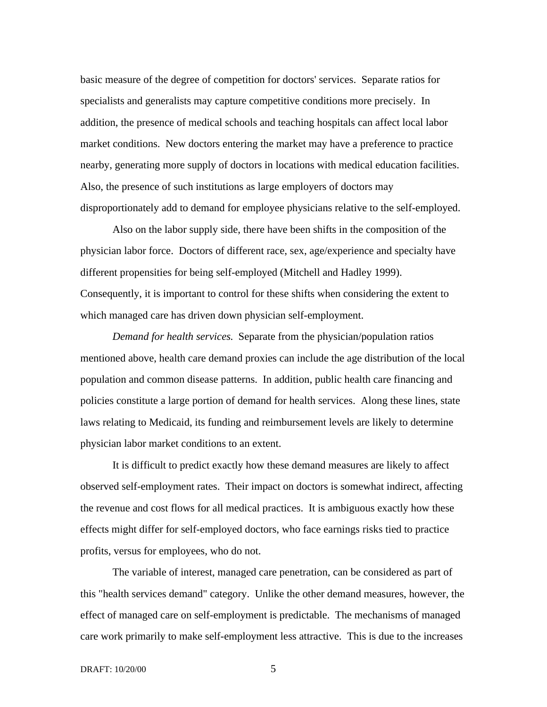basic measure of the degree of competition for doctors' services. Separate ratios for specialists and generalists may capture competitive conditions more precisely. In addition, the presence of medical schools and teaching hospitals can affect local labor market conditions. New doctors entering the market may have a preference to practice nearby, generating more supply of doctors in locations with medical education facilities. Also, the presence of such institutions as large employers of doctors may disproportionately add to demand for employee physicians relative to the self-employed.

Also on the labor supply side, there have been shifts in the composition of the physician labor force. Doctors of different race, sex, age/experience and specialty have different propensities for being self-employed (Mitchell and Hadley 1999). Consequently, it is important to control for these shifts when considering the extent to which managed care has driven down physician self-employment.

*Demand for health services*. Separate from the physician/population ratios mentioned above, health care demand proxies can include the age distribution of the local population and common disease patterns. In addition, public health care financing and policies constitute a large portion of demand for health services. Along these lines, state laws relating to Medicaid, its funding and reimbursement levels are likely to determine physician labor market conditions to an extent.

It is difficult to predict exactly how these demand measures are likely to affect observed self-employment rates. Their impact on doctors is somewhat indirect, affecting the revenue and cost flows for all medical practices. It is ambiguous exactly how these effects might differ for self-employed doctors, who face earnings risks tied to practice profits, versus for employees, who do not.

The variable of interest, managed care penetration, can be considered as part of this "health services demand" category. Unlike the other demand measures, however, the effect of managed care on self-employment is predictable. The mechanisms of managed care work primarily to make self-employment less attractive. This is due to the increases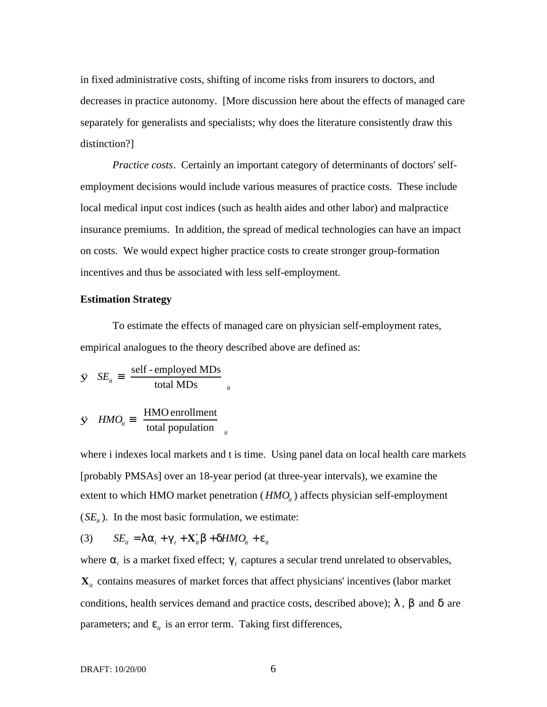in fixed administrative costs, shifting of income risks from insurers to doctors, and decreases in practice autonomy. [More discussion here about the effects of managed care separately for generalists and specialists; why does the literature consistently draw this distinction?]

*Practice costs*. Certainly an important category of determinants of doctors' selfemployment decisions would include various measures of practice costs. These include local medical input cost indices (such as health aides and other labor) and malpractice insurance premiums. In addition, the spread of medical technologies can have an impact on costs. We would expect higher practice costs to create stronger group-formation incentives and thus be associated with less self-employment.

## **Estimation Strategy**

To estimate the effects of managed care on physician self-employment rates, empirical analogues to the theory described above are defined as:

$$
\dot{\mathbf{y}} \quad SE_{ii} \equiv \left(\frac{\text{self - employed MDs}}{\text{total MDs}}\right)_{ii}
$$
\n
$$
\dot{\mathbf{y}} \quad HMO_{ii} \equiv \left(\frac{\text{HMO enrollment}}{\text{total population}}\right)_{ii}
$$

where i indexes local markets and t is time. Using panel data on local health care markets [probably PMSAs] over an 18-year period (at three-year intervals), we examine the extent to which HMO market penetration  $(HMO<sub>i</sub>)$  affects physician self-employment  $(SE<sub>i</sub>)$ . In the most basic formulation, we estimate:

$$
(3) \t SE_{it} = \lambda \alpha_i + \gamma_t + \mathbf{X}'_i \beta + \delta HMO_{it} + \varepsilon_{it}
$$

where  $\alpha_i$  is a market fixed effect;  $\gamma_i$  captures a secular trend unrelated to observables,  $\mathbf{X}_{it}$  contains measures of market forces that affect physicians' incentives (labor market conditions, health services demand and practice costs, described above);  $\lambda$ ,  $\beta$  and  $\delta$  are parameters; and  $\varepsilon_{it}$  is an error term. Taking first differences,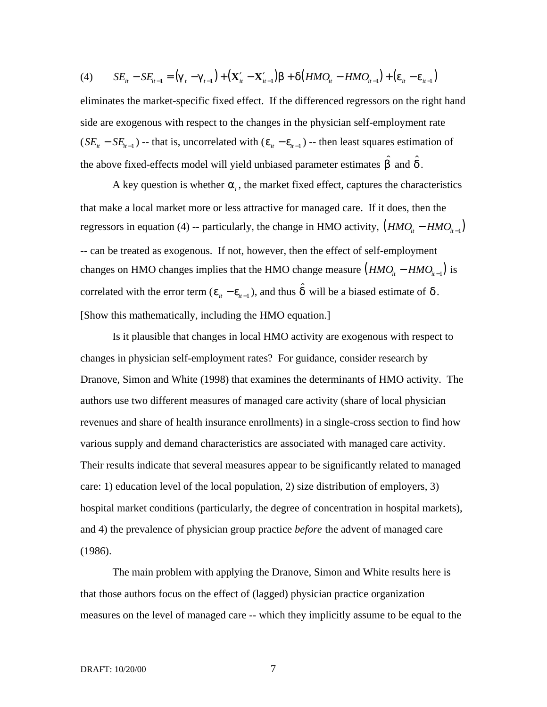(4) 
$$
SE_{it} - SE_{it-1} = (\gamma_t - \gamma_{t-1}) + (\mathbf{X}'_{it} - \mathbf{X}'_{it-1})\beta + \delta(HMO_{it} - HMO_{it-1}) + (\varepsilon_{it} - \varepsilon_{it-1})
$$

eliminates the market-specific fixed effect. If the differenced regressors on the right hand side are exogenous with respect to the changes in the physician self-employment rate  $(SE_{it} - SE_{it-1})$  -- that is, uncorrelated with  $(\varepsilon_{it} - \varepsilon_{it-1})$  -- then least squares estimation of the above fixed-effects model will yield unbiased parameter estimates  $\hat{\beta}$  and  $\hat{\delta}$ .

A key question is whether  $\alpha$ <sub>i</sub>, the market fixed effect, captures the characteristics that make a local market more or less attractive for managed care. If it does, then the regressors in equation (4) -- particularly, the change in HMO activity,  $(HMO<sub>i</sub> - HMO<sub>i+1</sub>)$ -- can be treated as exogenous. If not, however, then the effect of self-employment changes on HMO changes implies that the HMO change measure  $(HMO<sub>i</sub> - HMO<sub>i-1</sub>)$  is correlated with the error term  $(\varepsilon_{it} - \varepsilon_{it-1})$ , and thus  $\hat{\delta}$  will be a biased estimate of  $\delta$ . [Show this mathematically, including the HMO equation.]

Is it plausible that changes in local HMO activity are exogenous with respect to changes in physician self-employment rates? For guidance, consider research by Dranove, Simon and White (1998) that examines the determinants of HMO activity. The authors use two different measures of managed care activity (share of local physician revenues and share of health insurance enrollments) in a single-cross section to find how various supply and demand characteristics are associated with managed care activity. Their results indicate that several measures appear to be significantly related to managed care: 1) education level of the local population, 2) size distribution of employers, 3) hospital market conditions (particularly, the degree of concentration in hospital markets), and 4) the prevalence of physician group practice *before* the advent of managed care (1986).

The main problem with applying the Dranove, Simon and White results here is that those authors focus on the effect of (lagged) physician practice organization measures on the level of managed care -- which they implicitly assume to be equal to the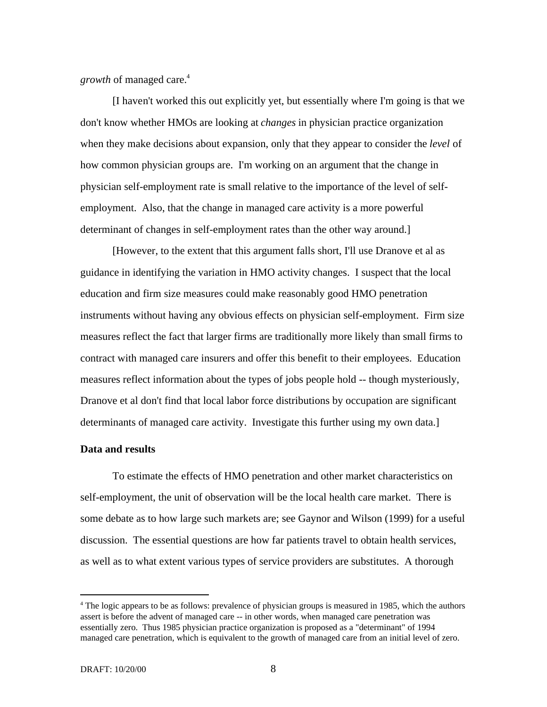*growth* of managed care.<sup>4</sup>

[I haven't worked this out explicitly yet, but essentially where I'm going is that we don't know whether HMOs are looking at *changes* in physician practice organization when they make decisions about expansion, only that they appear to consider the *level* of how common physician groups are. I'm working on an argument that the change in physician self-employment rate is small relative to the importance of the level of selfemployment. Also, that the change in managed care activity is a more powerful determinant of changes in self-employment rates than the other way around.]

[However, to the extent that this argument falls short, I'll use Dranove et al as guidance in identifying the variation in HMO activity changes. I suspect that the local education and firm size measures could make reasonably good HMO penetration instruments without having any obvious effects on physician self-employment. Firm size measures reflect the fact that larger firms are traditionally more likely than small firms to contract with managed care insurers and offer this benefit to their employees. Education measures reflect information about the types of jobs people hold -- though mysteriously, Dranove et al don't find that local labor force distributions by occupation are significant determinants of managed care activity. Investigate this further using my own data.]

# **Data and results**

To estimate the effects of HMO penetration and other market characteristics on self-employment, the unit of observation will be the local health care market. There is some debate as to how large such markets are; see Gaynor and Wilson (1999) for a useful discussion. The essential questions are how far patients travel to obtain health services, as well as to what extent various types of service providers are substitutes. A thorough

<sup>&</sup>lt;sup>4</sup> The logic appears to be as follows: prevalence of physician groups is measured in 1985, which the authors assert is before the advent of managed care -- in other words, when managed care penetration was essentially zero. Thus 1985 physician practice organization is proposed as a "determinant" of 1994 managed care penetration, which is equivalent to the growth of managed care from an initial level of zero.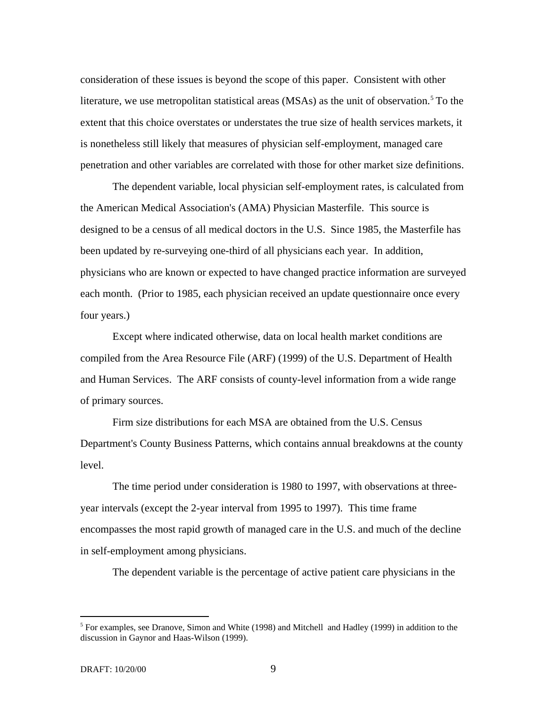consideration of these issues is beyond the scope of this paper. Consistent with other literature, we use metropolitan statistical areas (MSAs) as the unit of observation.<sup>5</sup> To the extent that this choice overstates or understates the true size of health services markets, it is nonetheless still likely that measures of physician self-employment, managed care penetration and other variables are correlated with those for other market size definitions.

The dependent variable, local physician self-employment rates, is calculated from the American Medical Association's (AMA) Physician Masterfile. This source is designed to be a census of all medical doctors in the U.S. Since 1985, the Masterfile has been updated by re-surveying one-third of all physicians each year. In addition, physicians who are known or expected to have changed practice information are surveyed each month. (Prior to 1985, each physician received an update questionnaire once every four years.)

Except where indicated otherwise, data on local health market conditions are compiled from the Area Resource File (ARF) (1999) of the U.S. Department of Health and Human Services. The ARF consists of county-level information from a wide range of primary sources.

Firm size distributions for each MSA are obtained from the U.S. Census Department's County Business Patterns, which contains annual breakdowns at the county level.

The time period under consideration is 1980 to 1997, with observations at threeyear intervals (except the 2-year interval from 1995 to 1997). This time frame encompasses the most rapid growth of managed care in the U.S. and much of the decline in self-employment among physicians.

The dependent variable is the percentage of active patient care physicians in the

<sup>&</sup>lt;sup>5</sup> For examples, see Dranove, Simon and White (1998) and Mitchell and Hadley (1999) in addition to the discussion in Gaynor and Haas-Wilson (1999).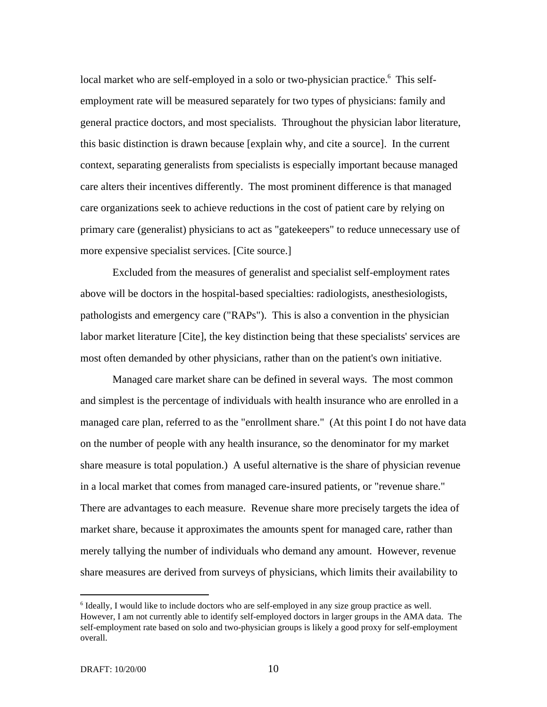local market who are self-employed in a solo or two-physician practice.<sup>6</sup> This selfemployment rate will be measured separately for two types of physicians: family and general practice doctors, and most specialists. Throughout the physician labor literature, this basic distinction is drawn because [explain why, and cite a source]. In the current context, separating generalists from specialists is especially important because managed care alters their incentives differently. The most prominent difference is that managed care organizations seek to achieve reductions in the cost of patient care by relying on primary care (generalist) physicians to act as "gatekeepers" to reduce unnecessary use of more expensive specialist services. [Cite source.]

Excluded from the measures of generalist and specialist self-employment rates above will be doctors in the hospital-based specialties: radiologists, anesthesiologists, pathologists and emergency care ("RAPs"). This is also a convention in the physician labor market literature [Cite], the key distinction being that these specialists' services are most often demanded by other physicians, rather than on the patient's own initiative.

Managed care market share can be defined in several ways. The most common and simplest is the percentage of individuals with health insurance who are enrolled in a managed care plan, referred to as the "enrollment share." (At this point I do not have data on the number of people with any health insurance, so the denominator for my market share measure is total population.) A useful alternative is the share of physician revenue in a local market that comes from managed care-insured patients, or "revenue share." There are advantages to each measure. Revenue share more precisely targets the idea of market share, because it approximates the amounts spent for managed care, rather than merely tallying the number of individuals who demand any amount. However, revenue share measures are derived from surveys of physicians, which limits their availability to

<sup>&</sup>lt;sup>6</sup> Ideally, I would like to include doctors who are self-employed in any size group practice as well. However, I am not currently able to identify self-employed doctors in larger groups in the AMA data. The self-employment rate based on solo and two-physician groups is likely a good proxy for self-employment overall.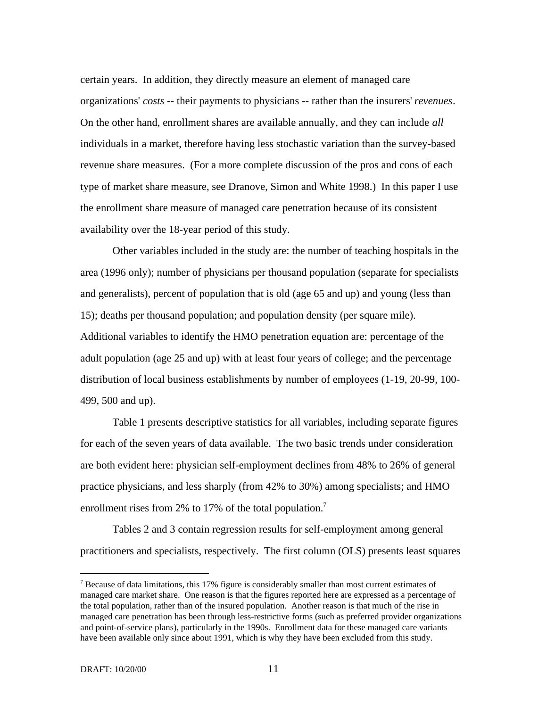certain years. In addition, they directly measure an element of managed care organizations' *costs* -- their payments to physicians -- rather than the insurers' *revenues*. On the other hand, enrollment shares are available annually, and they can include *all* individuals in a market, therefore having less stochastic variation than the survey-based revenue share measures. (For a more complete discussion of the pros and cons of each type of market share measure, see Dranove, Simon and White 1998.) In this paper I use the enrollment share measure of managed care penetration because of its consistent availability over the 18-year period of this study.

Other variables included in the study are: the number of teaching hospitals in the area (1996 only); number of physicians per thousand population (separate for specialists and generalists), percent of population that is old (age 65 and up) and young (less than 15); deaths per thousand population; and population density (per square mile). Additional variables to identify the HMO penetration equation are: percentage of the adult population (age 25 and up) with at least four years of college; and the percentage distribution of local business establishments by number of employees (1-19, 20-99, 100- 499, 500 and up).

Table 1 presents descriptive statistics for all variables, including separate figures for each of the seven years of data available. The two basic trends under consideration are both evident here: physician self-employment declines from 48% to 26% of general practice physicians, and less sharply (from 42% to 30%) among specialists; and HMO enrollment rises from 2% to 17% of the total population.<sup>7</sup>

Tables 2 and 3 contain regression results for self-employment among general practitioners and specialists, respectively. The first column (OLS) presents least squares

 $<sup>7</sup>$  Because of data limitations, this 17% figure is considerably smaller than most current estimates of</sup> managed care market share. One reason is that the figures reported here are expressed as a percentage of the total population, rather than of the insured population. Another reason is that much of the rise in managed care penetration has been through less-restrictive forms (such as preferred provider organizations and point-of-service plans), particularly in the 1990s. Enrollment data for these managed care variants have been available only since about 1991, which is why they have been excluded from this study.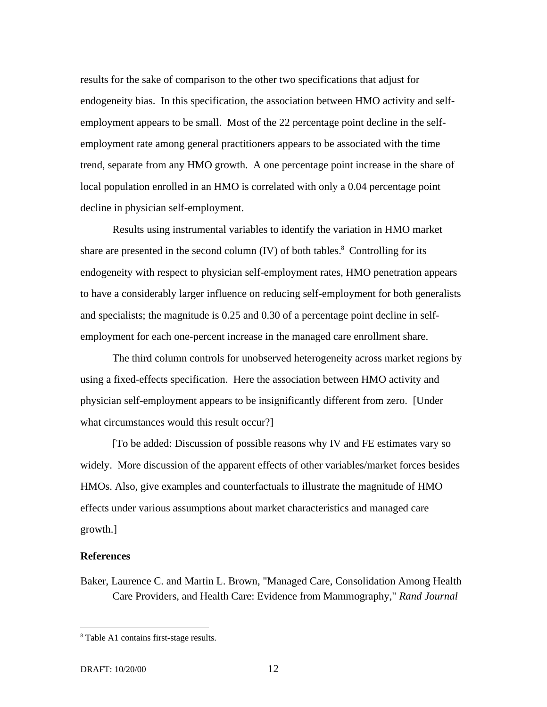results for the sake of comparison to the other two specifications that adjust for endogeneity bias. In this specification, the association between HMO activity and selfemployment appears to be small. Most of the 22 percentage point decline in the selfemployment rate among general practitioners appears to be associated with the time trend, separate from any HMO growth. A one percentage point increase in the share of local population enrolled in an HMO is correlated with only a 0.04 percentage point decline in physician self-employment.

Results using instrumental variables to identify the variation in HMO market share are presented in the second column (IV) of both tables.<sup>8</sup> Controlling for its endogeneity with respect to physician self-employment rates, HMO penetration appears to have a considerably larger influence on reducing self-employment for both generalists and specialists; the magnitude is 0.25 and 0.30 of a percentage point decline in selfemployment for each one-percent increase in the managed care enrollment share.

The third column controls for unobserved heterogeneity across market regions by using a fixed-effects specification. Here the association between HMO activity and physician self-employment appears to be insignificantly different from zero. [Under what circumstances would this result occur?]

[To be added: Discussion of possible reasons why IV and FE estimates vary so widely. More discussion of the apparent effects of other variables/market forces besides HMOs. Also, give examples and counterfactuals to illustrate the magnitude of HMO effects under various assumptions about market characteristics and managed care growth.]

### **References**

l

Baker, Laurence C. and Martin L. Brown, "Managed Care, Consolidation Among Health Care Providers, and Health Care: Evidence from Mammography," *Rand Journal*

<sup>&</sup>lt;sup>8</sup> Table A1 contains first-stage results.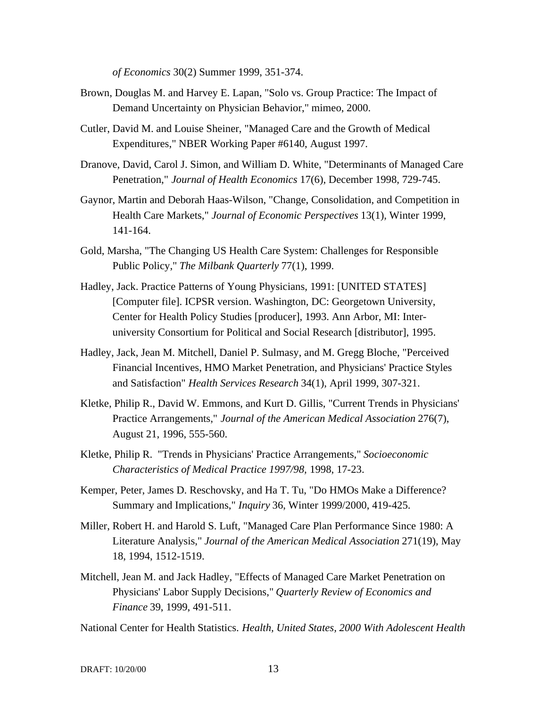*of Economics* 30(2) Summer 1999, 351-374.

- Brown, Douglas M. and Harvey E. Lapan, "Solo vs. Group Practice: The Impact of Demand Uncertainty on Physician Behavior," mimeo, 2000.
- Cutler, David M. and Louise Sheiner, "Managed Care and the Growth of Medical Expenditures," NBER Working Paper #6140, August 1997.
- Dranove, David, Carol J. Simon, and William D. White, "Determinants of Managed Care Penetration," *Journal of Health Economics* 17(6), December 1998, 729-745.
- Gaynor, Martin and Deborah Haas-Wilson, "Change, Consolidation, and Competition in Health Care Markets," *Journal of Economic Perspectives* 13(1), Winter 1999, 141-164.
- Gold, Marsha, "The Changing US Health Care System: Challenges for Responsible Public Policy," *The Milbank Quarterly* 77(1), 1999.
- Hadley, Jack. Practice Patterns of Young Physicians, 1991: [UNITED STATES] [Computer file]. ICPSR version. Washington, DC: Georgetown University, Center for Health Policy Studies [producer], 1993. Ann Arbor, MI: Interuniversity Consortium for Political and Social Research [distributor], 1995.
- Hadley, Jack, Jean M. Mitchell, Daniel P. Sulmasy, and M. Gregg Bloche, "Perceived Financial Incentives, HMO Market Penetration, and Physicians' Practice Styles and Satisfaction" *Health Services Research* 34(1), April 1999, 307-321.
- Kletke, Philip R., David W. Emmons, and Kurt D. Gillis, "Current Trends in Physicians' Practice Arrangements," *Journal of the American Medical Association* 276(7), August 21, 1996, 555-560.
- Kletke, Philip R. "Trends in Physicians' Practice Arrangements," *Socioeconomic Characteristics of Medical Practice 1997/98,* 1998, 17-23.
- Kemper, Peter, James D. Reschovsky, and Ha T. Tu, "Do HMOs Make a Difference? Summary and Implications," *Inquiry* 36, Winter 1999/2000, 419-425.
- Miller, Robert H. and Harold S. Luft, "Managed Care Plan Performance Since 1980: A Literature Analysis," *Journal of the American Medical Association* 271(19), May 18, 1994, 1512-1519.
- Mitchell, Jean M. and Jack Hadley, "Effects of Managed Care Market Penetration on Physicians' Labor Supply Decisions," *Quarterly Review of Economics and Finance* 39, 1999, 491-511.

National Center for Health Statistics. *Health, United States, 2000 With Adolescent Health*